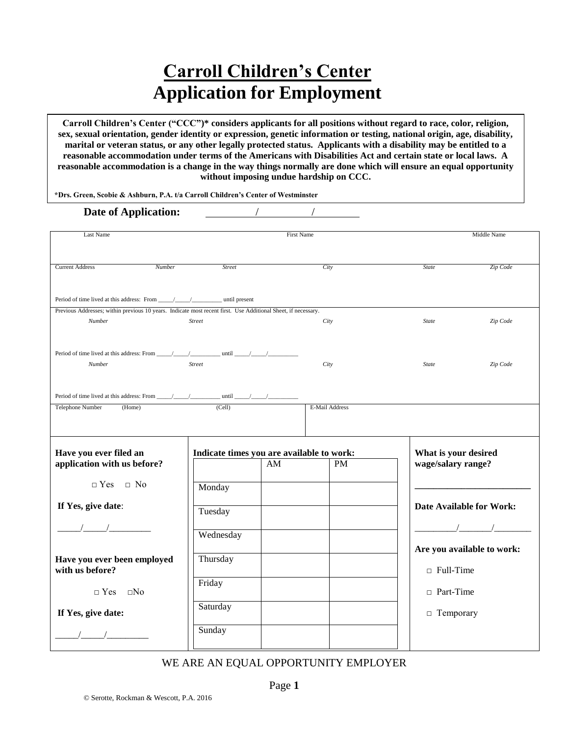# **Carroll Children's Center Application for Employment**

**Carroll Children's Center ("CCC")\* considers applicants for all positions without regard to race, color, religion, sex, sexual orientation, gender identity or expression, genetic information or testing, national origin, age, disability, marital or veteran status, or any other legally protected status. Applicants with a disability may be entitled to a reasonable accommodation under terms of the Americans with Disabilities Act and certain state or local laws. A reasonable accommodation is a change in the way things normally are done which will ensure an equal opportunity without imposing undue hardship on CCC.**

**\*Drs. Green, Scobie & Ashburn, P.A. t/a Carroll Children's Center of Westminster**

#### **Date of Application:**

| Last Name                                                                                                     |                                           |    | <b>First Name</b> |                                 | Middle Name |
|---------------------------------------------------------------------------------------------------------------|-------------------------------------------|----|-------------------|---------------------------------|-------------|
|                                                                                                               |                                           |    |                   |                                 |             |
|                                                                                                               |                                           |    |                   |                                 |             |
| <b>Current Address</b><br>Number                                                                              | <b>Street</b>                             |    | City              | <b>State</b>                    | Zip Code    |
|                                                                                                               |                                           |    |                   |                                 |             |
|                                                                                                               |                                           |    |                   |                                 |             |
|                                                                                                               |                                           |    |                   |                                 |             |
| Previous Addresses; within previous 10 years. Indicate most recent first. Use Additional Sheet, if necessary. |                                           |    |                   |                                 |             |
| Number                                                                                                        | <b>Street</b>                             |    | City              | <b>State</b>                    | Zip Code    |
|                                                                                                               |                                           |    |                   |                                 |             |
|                                                                                                               |                                           |    |                   |                                 |             |
|                                                                                                               |                                           |    |                   |                                 |             |
| Number                                                                                                        | <b>Street</b>                             |    | City              | <b>State</b>                    | Zip Code    |
|                                                                                                               |                                           |    |                   |                                 |             |
|                                                                                                               |                                           |    |                   |                                 |             |
|                                                                                                               |                                           |    |                   |                                 |             |
| Telephone Number<br>(Home)                                                                                    | (Cell)                                    |    | E-Mail Address    |                                 |             |
|                                                                                                               |                                           |    |                   |                                 |             |
|                                                                                                               |                                           |    |                   |                                 |             |
|                                                                                                               |                                           |    |                   |                                 |             |
| Have you ever filed an                                                                                        | Indicate times you are available to work: |    |                   | What is your desired            |             |
| application with us before?                                                                                   |                                           | AM | <b>PM</b>         | wage/salary range?              |             |
|                                                                                                               |                                           |    |                   |                                 |             |
| $\neg$ Yes $\neg$ No                                                                                          | Monday                                    |    |                   |                                 |             |
|                                                                                                               |                                           |    |                   |                                 |             |
| If Yes, give date:                                                                                            |                                           |    |                   | <b>Date Available for Work:</b> |             |
|                                                                                                               | Tuesday                                   |    |                   |                                 |             |
|                                                                                                               |                                           |    |                   |                                 | $\sqrt{2}$  |
|                                                                                                               | Wednesday                                 |    |                   |                                 |             |
|                                                                                                               |                                           |    |                   | Are you available to work:      |             |
| Have you ever been employed                                                                                   | Thursday                                  |    |                   |                                 |             |
| with us before?                                                                                               |                                           |    |                   | $\Box$ Full-Time                |             |
|                                                                                                               | Friday                                    |    |                   |                                 |             |
| $\Box$ Yes $\Box$ No                                                                                          |                                           |    |                   | $\Box$ Part-Time                |             |
|                                                                                                               |                                           |    |                   |                                 |             |
| If Yes, give date:                                                                                            | Saturday                                  |    |                   | $\Box$ Temporary                |             |
|                                                                                                               |                                           |    |                   |                                 |             |
|                                                                                                               | Sunday                                    |    |                   |                                 |             |
|                                                                                                               |                                           |    |                   |                                 |             |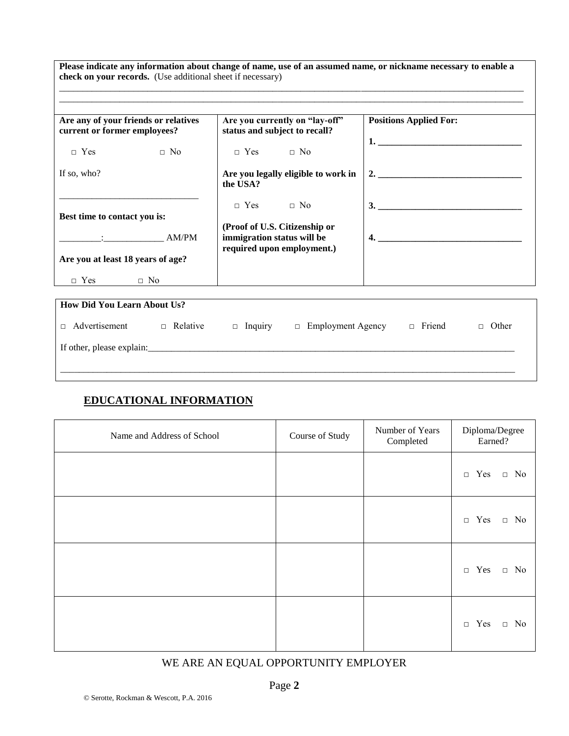**Please indicate any information about change of name, use of an assumed name, or nickname necessary to enable a check on your records.** (Use additional sheet if necessary) \_\_\_\_\_\_\_\_\_\_\_\_\_\_\_\_\_\_\_\_\_\_\_\_\_\_\_\_\_\_\_\_\_\_\_\_\_\_\_\_\_\_\_\_\_\_\_\_\_\_\_\_\_\_\_\_\_\_\_\_\_\_\_\_\_\_\_\_\_\_\_\_\_\_\_\_\_\_\_\_\_\_\_\_\_\_\_\_\_\_\_\_\_\_\_\_\_\_\_\_

\_\_\_\_\_\_\_\_\_\_\_\_\_\_\_\_\_\_\_\_\_\_\_\_\_\_\_\_\_\_\_\_\_\_\_\_\_\_\_\_\_\_\_\_\_\_\_\_\_\_\_\_\_\_\_\_\_\_\_\_\_\_\_\_\_\_\_\_\_\_\_\_\_\_\_\_\_\_\_\_\_\_\_\_\_\_\_\_\_\_\_\_\_\_\_\_\_\_\_\_

| Are any of your friends or relatives<br>current or former employees? | Are you currently on "lay-off"<br>status and subject to recall?                           | <b>Positions Applied For:</b>        |
|----------------------------------------------------------------------|-------------------------------------------------------------------------------------------|--------------------------------------|
| $\neg$ Yes<br>$\Box$ No                                              | $\Box$ Yes $\Box$ No                                                                      | <u>1. __________________________</u> |
| If so, who?                                                          | Are you legally eligible to work in<br>the USA?                                           | 2. $\qquad \qquad$                   |
| Best time to contact you is:                                         | $\Box$ Yes $\Box$ No                                                                      | 3.                                   |
| $\frac{1}{2}$ AM/PM                                                  | (Proof of U.S. Citizenship or<br>immigration status will be<br>required upon employment.) |                                      |
| Are you at least 18 years of age?                                    |                                                                                           |                                      |
| $\Box$ Yes<br>$\Box$ No                                              |                                                                                           |                                      |

| <b>How Did You Learn About Us?</b> |                 |                |                          |               |                 |  |
|------------------------------------|-----------------|----------------|--------------------------|---------------|-----------------|--|
| Advertisement<br>$\Box$            | $\Box$ Relative | $\Box$ Inquiry | $\Box$ Employment Agency | $\Box$ Friend | Other<br>$\Box$ |  |
| If other, please explain:          |                 |                |                          |               |                 |  |
|                                    |                 |                |                          |               |                 |  |

# **EDUCATIONAL INFORMATION**

| Name and Address of School | Course of Study | Number of Years<br>Completed | Diploma/Degree<br>Earned?      |
|----------------------------|-----------------|------------------------------|--------------------------------|
|                            |                 |                              | $\Box$ Yes<br>$\Box$ No        |
|                            |                 |                              | $\Box$ Yes<br>$\hfill \Box$ No |
|                            |                 |                              | $\Box$ Yes<br>$\Box$ No        |
|                            |                 |                              | $\Box$ Yes $\Box$ No           |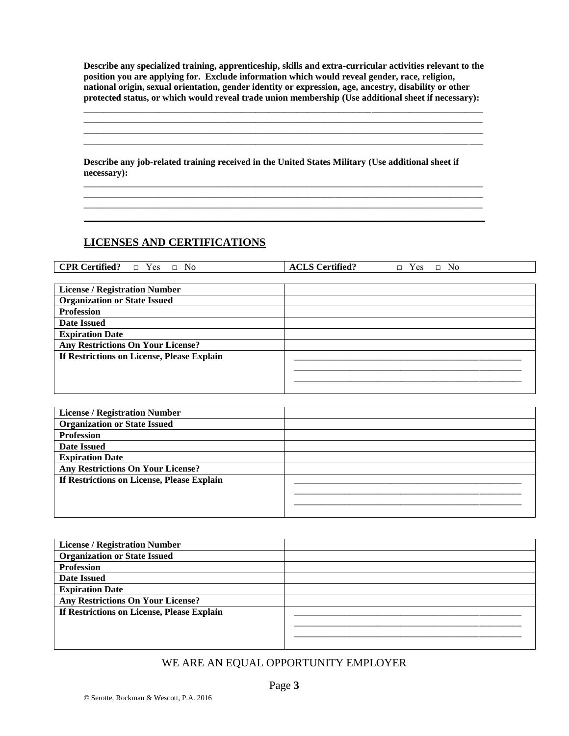**Describe any specialized training, apprenticeship, skills and extra-curricular activities relevant to the position you are applying for. Exclude information which would reveal gender, race, religion, national origin, sexual orientation, gender identity or expression, age, ancestry, disability or other protected status, or which would reveal trade union membership (Use additional sheet if necessary):**

\_\_\_\_\_\_\_\_\_\_\_\_\_\_\_\_\_\_\_\_\_\_\_\_\_\_\_\_\_\_\_\_\_\_\_\_\_\_\_\_\_\_\_\_\_\_\_\_\_\_\_\_\_\_\_\_\_\_\_\_\_\_\_\_\_\_\_\_\_\_\_\_\_\_\_\_\_\_\_\_\_\_\_\_\_\_ \_\_\_\_\_\_\_\_\_\_\_\_\_\_\_\_\_\_\_\_\_\_\_\_\_\_\_\_\_\_\_\_\_\_\_\_\_\_\_\_\_\_\_\_\_\_\_\_\_\_\_\_\_\_\_\_\_\_\_\_\_\_\_\_\_\_\_\_\_\_\_\_\_\_\_\_\_\_\_\_\_\_\_\_\_\_ \_\_\_\_\_\_\_\_\_\_\_\_\_\_\_\_\_\_\_\_\_\_\_\_\_\_\_\_\_\_\_\_\_\_\_\_\_\_\_\_\_\_\_\_\_\_\_\_\_\_\_\_\_\_\_\_\_\_\_\_\_\_\_\_\_\_\_\_\_\_\_\_\_\_\_\_\_\_\_\_\_\_\_\_\_\_ \_\_\_\_\_\_\_\_\_\_\_\_\_\_\_\_\_\_\_\_\_\_\_\_\_\_\_\_\_\_\_\_\_\_\_\_\_\_\_\_\_\_\_\_\_\_\_\_\_\_\_\_\_\_\_\_\_\_\_\_\_\_\_\_\_\_\_\_\_\_\_\_\_\_\_\_\_\_\_\_\_\_\_\_\_\_

**Describe any job-related training received in the United States Military (Use additional sheet if necessary):** 

\_\_\_\_\_\_\_\_\_\_\_\_\_\_\_\_\_\_\_\_\_\_\_\_\_\_\_\_\_\_\_\_\_\_\_\_\_\_\_\_\_\_\_\_\_\_\_\_\_\_\_\_\_\_\_\_\_\_\_\_\_\_\_\_\_\_\_\_\_\_\_\_\_\_\_\_\_\_\_\_\_\_\_\_\_\_ \_\_\_\_\_\_\_\_\_\_\_\_\_\_\_\_\_\_\_\_\_\_\_\_\_\_\_\_\_\_\_\_\_\_\_\_\_\_\_\_\_\_\_\_\_\_\_\_\_\_\_\_\_\_\_\_\_\_\_\_\_\_\_\_\_\_\_\_\_\_\_\_\_\_\_\_\_\_\_\_\_\_\_\_\_\_ \_\_\_\_\_\_\_\_\_\_\_\_\_\_\_\_\_\_\_\_\_\_\_\_\_\_\_\_\_\_\_\_\_\_\_\_\_\_\_\_\_\_\_\_\_\_\_\_\_\_\_\_\_\_\_\_\_\_\_\_\_\_\_\_\_\_\_\_\_\_\_\_\_\_\_\_\_\_\_\_\_\_\_\_\_\_  $\_$  , and the set of the set of the set of the set of the set of the set of the set of the set of the set of the set of the set of the set of the set of the set of the set of the set of the set of the set of the set of th

# **LICENSES AND CERTIFICATIONS**

| <b>CPR Certified?</b><br>$\Box$ Yes $\Box$ No | <b>ACLS Certified?</b><br>$\Box$ Yes<br>$\Box$ No |
|-----------------------------------------------|---------------------------------------------------|
|                                               |                                                   |
| <b>License / Registration Number</b>          |                                                   |
| <b>Organization or State Issued</b>           |                                                   |
| <b>Profession</b>                             |                                                   |
| <b>Date Issued</b>                            |                                                   |
| <b>Expiration Date</b>                        |                                                   |
| <b>Any Restrictions On Your License?</b>      |                                                   |
| If Restrictions on License, Please Explain    |                                                   |
|                                               |                                                   |
|                                               |                                                   |
|                                               |                                                   |

| <b>License / Registration Number</b>       |  |
|--------------------------------------------|--|
| <b>Organization or State Issued</b>        |  |
| <b>Profession</b>                          |  |
| <b>Date Issued</b>                         |  |
| <b>Expiration Date</b>                     |  |
| <b>Any Restrictions On Your License?</b>   |  |
| If Restrictions on License, Please Explain |  |
|                                            |  |
|                                            |  |
|                                            |  |

| <b>License / Registration Number</b>       |  |
|--------------------------------------------|--|
| <b>Organization or State Issued</b>        |  |
| <b>Profession</b>                          |  |
| <b>Date Issued</b>                         |  |
| <b>Expiration Date</b>                     |  |
| <b>Any Restrictions On Your License?</b>   |  |
| If Restrictions on License, Please Explain |  |
|                                            |  |
|                                            |  |
|                                            |  |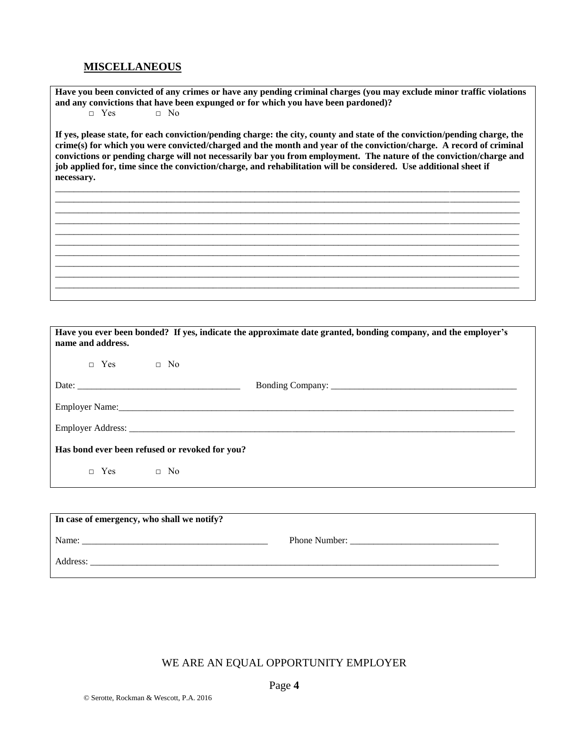## **MISCELLANEOUS**

**Have you been convicted of any crimes or have any pending criminal charges (you may exclude minor traffic violations and any convictions that have been expunged or for which you have been pardoned)?**

□ Yes □ No

**If yes, please state, for each conviction/pending charge: the city, county and state of the conviction/pending charge, the crime(s) for which you were convicted/charged and the month and year of the conviction/charge. A record of criminal convictions or pending charge will not necessarily bar you from employment. The nature of the conviction/charge and job applied for, time since the conviction/charge, and rehabilitation will be considered. Use additional sheet if necessary.**

\_\_\_\_\_\_\_\_\_\_\_\_\_\_\_\_\_\_\_\_\_\_\_\_\_\_\_\_\_\_\_\_\_\_\_\_\_\_\_\_\_\_\_\_\_\_\_\_\_\_\_\_\_\_\_\_\_\_\_\_\_\_\_\_\_\_\_\_\_\_\_\_\_\_\_\_\_\_\_\_\_\_\_\_\_\_\_\_\_\_\_\_\_\_\_\_\_\_\_\_ \_\_\_\_\_\_\_\_\_\_\_\_\_\_\_\_\_\_\_\_\_\_\_\_\_\_\_\_\_\_\_\_\_\_\_\_\_\_\_\_\_\_\_\_\_\_\_\_\_\_\_\_\_\_\_\_\_\_\_\_\_\_\_\_\_\_\_\_\_\_\_\_\_\_\_\_\_\_\_\_\_\_\_\_\_\_\_\_\_\_\_\_\_\_\_\_\_\_\_\_ \_\_\_\_\_\_\_\_\_\_\_\_\_\_\_\_\_\_\_\_\_\_\_\_\_\_\_\_\_\_\_\_\_\_\_\_\_\_\_\_\_\_\_\_\_\_\_\_\_\_\_\_\_\_\_\_\_\_\_\_\_\_\_\_\_\_\_\_\_\_\_\_\_\_\_\_\_\_\_\_\_\_\_\_\_\_\_\_\_\_\_\_\_\_\_\_\_\_\_\_ \_\_\_\_\_\_\_\_\_\_\_\_\_\_\_\_\_\_\_\_\_\_\_\_\_\_\_\_\_\_\_\_\_\_\_\_\_\_\_\_\_\_\_\_\_\_\_\_\_\_\_\_\_\_\_\_\_\_\_\_\_\_\_\_\_\_\_\_\_\_\_\_\_\_\_\_\_\_\_\_\_\_\_\_\_\_\_\_\_\_\_\_\_\_\_\_\_\_\_\_ \_\_\_\_\_\_\_\_\_\_\_\_\_\_\_\_\_\_\_\_\_\_\_\_\_\_\_\_\_\_\_\_\_\_\_\_\_\_\_\_\_\_\_\_\_\_\_\_\_\_\_\_\_\_\_\_\_\_\_\_\_\_\_\_\_\_\_\_\_\_\_\_\_\_\_\_\_\_\_\_\_\_\_\_\_\_\_\_\_\_\_\_\_\_\_\_\_\_\_\_ \_\_\_\_\_\_\_\_\_\_\_\_\_\_\_\_\_\_\_\_\_\_\_\_\_\_\_\_\_\_\_\_\_\_\_\_\_\_\_\_\_\_\_\_\_\_\_\_\_\_\_\_\_\_\_\_\_\_\_\_\_\_\_\_\_\_\_\_\_\_\_\_\_\_\_\_\_\_\_\_\_\_\_\_\_\_\_\_\_\_\_\_\_\_\_\_\_\_\_\_ \_\_\_\_\_\_\_\_\_\_\_\_\_\_\_\_\_\_\_\_\_\_\_\_\_\_\_\_\_\_\_\_\_\_\_\_\_\_\_\_\_\_\_\_\_\_\_\_\_\_\_\_\_\_\_\_\_\_\_\_\_\_\_\_\_\_\_\_\_\_\_\_\_\_\_\_\_\_\_\_\_\_\_\_\_\_\_\_\_\_\_\_\_\_\_\_\_\_\_\_ \_\_\_\_\_\_\_\_\_\_\_\_\_\_\_\_\_\_\_\_\_\_\_\_\_\_\_\_\_\_\_\_\_\_\_\_\_\_\_\_\_\_\_\_\_\_\_\_\_\_\_\_\_\_\_\_\_\_\_\_\_\_\_\_\_\_\_\_\_\_\_\_\_\_\_\_\_\_\_\_\_\_\_\_\_\_\_\_\_\_\_\_\_\_\_\_\_\_\_\_ \_\_\_\_\_\_\_\_\_\_\_\_\_\_\_\_\_\_\_\_\_\_\_\_\_\_\_\_\_\_\_\_\_\_\_\_\_\_\_\_\_\_\_\_\_\_\_\_\_\_\_\_\_\_\_\_\_\_\_\_\_\_\_\_\_\_\_\_\_\_\_\_\_\_\_\_\_\_\_\_\_\_\_\_\_\_\_\_\_\_\_\_\_\_\_\_\_\_\_\_ \_\_\_\_\_\_\_\_\_\_\_\_\_\_\_\_\_\_\_\_\_\_\_\_\_\_\_\_\_\_\_\_\_\_\_\_\_\_\_\_\_\_\_\_\_\_\_\_\_\_\_\_\_\_\_\_\_\_\_\_\_\_\_\_\_\_\_\_\_\_\_\_\_\_\_\_\_\_\_\_\_\_\_\_\_\_\_\_\_\_\_\_\_\_\_\_\_\_\_\_

| Have you ever been bonded? If yes, indicate the approximate date granted, bonding company, and the employer's<br>name and address. |
|------------------------------------------------------------------------------------------------------------------------------------|
| $\Box$ Yes $\Box$ No                                                                                                               |
|                                                                                                                                    |
|                                                                                                                                    |
|                                                                                                                                    |
| Has bond ever been refused or revoked for you?                                                                                     |
| $\Box$ Yes $\Box$ No                                                                                                               |

| In case of emergency, who shall we notify? |               |  |  |  |
|--------------------------------------------|---------------|--|--|--|
| Name:                                      | Phone Number: |  |  |  |
| Address:                                   |               |  |  |  |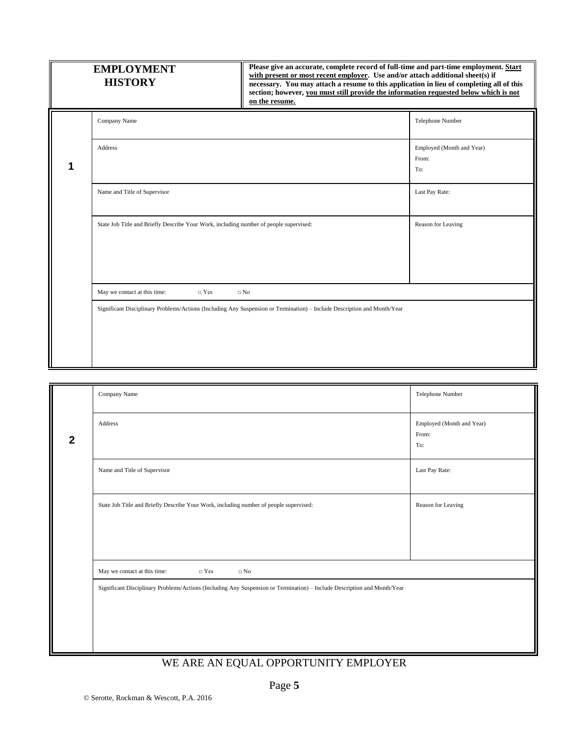| <b>EMPLOYMENT</b><br><b>HISTORY</b>                                                    | Please give an accurate, complete record of full-time and part-time employment. Start<br>with present or most recent employer. Use and/or attach additional sheet(s) if<br>necessary. You may attach a resume to this application in lieu of completing all of this<br>section; however, you must still provide the information requested below which is not<br>on the resume. |                                           |
|----------------------------------------------------------------------------------------|--------------------------------------------------------------------------------------------------------------------------------------------------------------------------------------------------------------------------------------------------------------------------------------------------------------------------------------------------------------------------------|-------------------------------------------|
| Company Name                                                                           |                                                                                                                                                                                                                                                                                                                                                                                | Telephone Number                          |
| Address                                                                                |                                                                                                                                                                                                                                                                                                                                                                                | Employed (Month and Year)<br>From:<br>To: |
| Name and Title of Supervisor                                                           |                                                                                                                                                                                                                                                                                                                                                                                | Last Pay Rate:                            |
| State Job Title and Briefly Describe Your Work, including number of people supervised: |                                                                                                                                                                                                                                                                                                                                                                                | Reason for Leaving                        |
| $\Box$ Yes<br>May we contact at this time:                                             | $\Box$ No                                                                                                                                                                                                                                                                                                                                                                      |                                           |
|                                                                                        | Significant Disciplinary Problems/Actions (Including Any Suspension or Termination) - Include Description and Month/Year                                                                                                                                                                                                                                                       |                                           |

|              | Company Name                                                                                                             | Telephone Number                          |
|--------------|--------------------------------------------------------------------------------------------------------------------------|-------------------------------------------|
| $\mathbf{2}$ | Address                                                                                                                  | Employed (Month and Year)<br>From:<br>To: |
|              | Name and Title of Supervisor                                                                                             | Last Pay Rate:                            |
|              | State Job Title and Briefly Describe Your Work, including number of people supervised:                                   | Reason for Leaving                        |
|              | $\hfill\Box$<br>Yes<br>$\Box$ No<br>May we contact at this time:                                                         |                                           |
|              | Significant Disciplinary Problems/Actions (Including Any Suspension or Termination) - Include Description and Month/Year |                                           |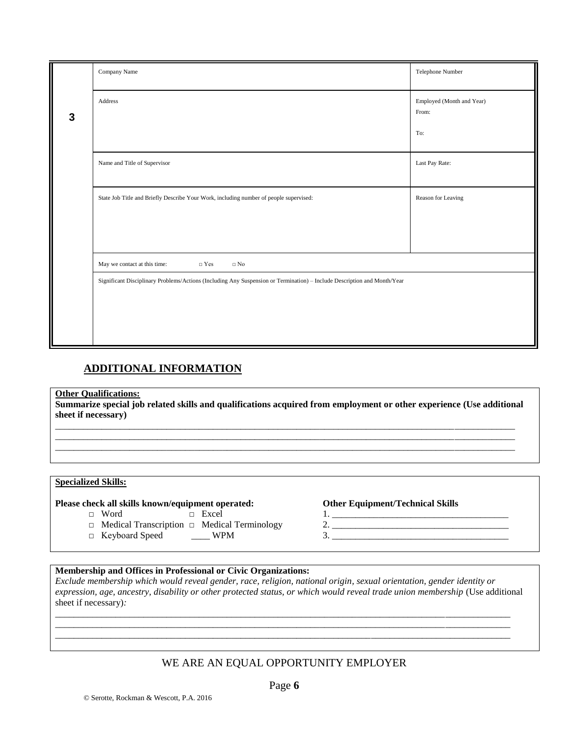|   | Company Name                                                                                                             | Telephone Number                   |  |  |
|---|--------------------------------------------------------------------------------------------------------------------------|------------------------------------|--|--|
| 3 | Address                                                                                                                  | Employed (Month and Year)<br>From: |  |  |
|   |                                                                                                                          | To:                                |  |  |
|   | Name and Title of Supervisor                                                                                             | Last Pay Rate:                     |  |  |
|   | State Job Title and Briefly Describe Your Work, including number of people supervised:                                   | Reason for Leaving                 |  |  |
|   |                                                                                                                          |                                    |  |  |
|   | May we contact at this time:<br>$\hfill\Box$<br>Yes<br>$\hfill \Box$<br>No                                               |                                    |  |  |
|   | Significant Disciplinary Problems/Actions (Including Any Suspension or Termination) - Include Description and Month/Year |                                    |  |  |
|   |                                                                                                                          |                                    |  |  |
|   |                                                                                                                          |                                    |  |  |

# **ADDITIONAL INFORMATION**

#### **Other Qualifications:**

**Summarize special job related skills and qualifications acquired from employment or other experience (Use additional sheet if necessary)**

\_\_\_\_\_\_\_\_\_\_\_\_\_\_\_\_\_\_\_\_\_\_\_\_\_\_\_\_\_\_\_\_\_\_\_\_\_\_\_\_\_\_\_\_\_\_\_\_\_\_\_\_\_\_\_\_\_\_\_\_\_\_\_\_\_\_\_\_\_\_\_\_\_\_\_\_\_\_\_\_\_\_\_\_\_\_\_\_\_\_\_\_\_\_\_\_\_\_\_ \_\_\_\_\_\_\_\_\_\_\_\_\_\_\_\_\_\_\_\_\_\_\_\_\_\_\_\_\_\_\_\_\_\_\_\_\_\_\_\_\_\_\_\_\_\_\_\_\_\_\_\_\_\_\_\_\_\_\_\_\_\_\_\_\_\_\_\_\_\_\_\_\_\_\_\_\_\_\_\_\_\_\_\_\_\_\_\_\_\_\_\_\_\_\_\_\_\_\_ \_\_\_\_\_\_\_\_\_\_\_\_\_\_\_\_\_\_\_\_\_\_\_\_\_\_\_\_\_\_\_\_\_\_\_\_\_\_\_\_\_\_\_\_\_\_\_\_\_\_\_\_\_\_\_\_\_\_\_\_\_\_\_\_\_\_\_\_\_\_\_\_\_\_\_\_\_\_\_\_\_\_\_\_\_\_\_\_\_\_\_\_\_\_\_\_\_\_\_

### **Specialized Skills:**

#### **Please check all skills known/equipment operated: Other Equipment/Technical Skills**

- 
- □ Medical Transcription □ Medical Terminology
- □ Keyboard Speed \_\_\_\_ WPM 3. \_\_\_\_\_\_\_\_\_\_\_\_\_\_\_\_\_\_\_\_\_\_\_\_\_\_\_\_\_\_\_\_\_\_\_\_\_\_

- □ Word □ Excel 1. \_\_\_\_\_\_\_\_\_\_\_\_\_\_\_\_\_\_\_\_\_\_\_\_\_\_\_\_\_\_\_\_\_\_\_\_\_\_
	-

## **Membership and Offices in Professional or Civic Organizations:**

*Exclude membership which would reveal gender, race, religion, national origin, sexual orientation, gender identity or expression, age, ancestry, disability or other protected status, or which would reveal trade union membership* (Use additional sheet if necessary)*:*

\_\_\_\_\_\_\_\_\_\_\_\_\_\_\_\_\_\_\_\_\_\_\_\_\_\_\_\_\_\_\_\_\_\_\_\_\_\_\_\_\_\_\_\_\_\_\_\_\_\_\_\_\_\_\_\_\_\_\_\_\_\_\_\_\_\_\_\_\_\_\_\_\_\_\_\_\_\_\_\_\_\_\_\_\_\_\_\_\_\_\_\_\_\_\_\_\_\_ \_\_\_\_\_\_\_\_\_\_\_\_\_\_\_\_\_\_\_\_\_\_\_\_\_\_\_\_\_\_\_\_\_\_\_\_\_\_\_\_\_\_\_\_\_\_\_\_\_\_\_\_\_\_\_\_\_\_\_\_\_\_\_\_\_\_\_\_\_\_\_\_\_\_\_\_\_\_\_\_\_\_\_\_\_\_\_\_\_\_\_\_\_\_\_\_\_\_ \_\_\_\_\_\_\_\_\_\_\_\_\_\_\_\_\_\_\_\_\_\_\_\_\_\_\_\_\_\_\_\_\_\_\_\_\_\_\_\_\_\_\_\_\_\_\_\_\_\_\_\_\_\_\_\_\_\_\_\_\_\_\_\_\_\_\_\_\_\_\_\_\_\_\_\_\_\_\_\_\_\_\_\_\_\_\_\_\_\_\_\_\_\_\_\_\_\_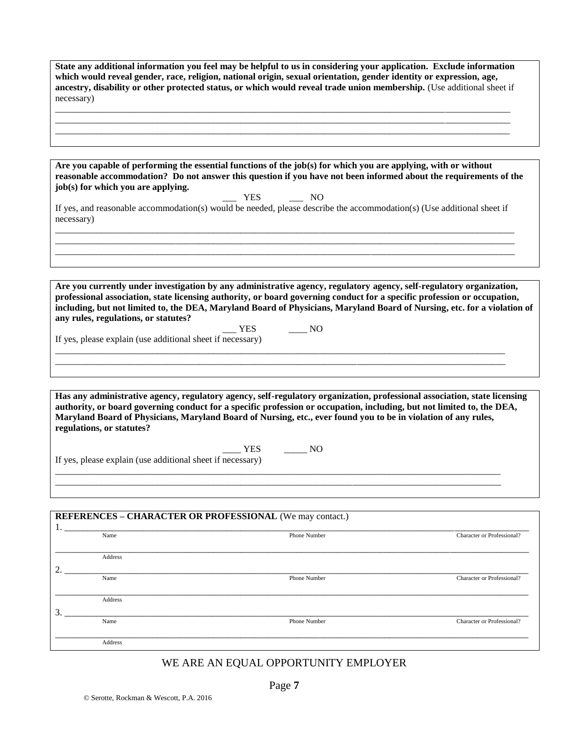**State any additional information you feel may be helpful to us in considering your application. Exclude information which would reveal gender, race, religion, national origin, sexual orientation, gender identity or expression, age, ancestry, disability or other protected status, or which would reveal trade union membership.** (Use additional sheet if necessary)

\_\_\_\_\_\_\_\_\_\_\_\_\_\_\_\_\_\_\_\_\_\_\_\_\_\_\_\_\_\_\_\_\_\_\_\_\_\_\_\_\_\_\_\_\_\_\_\_\_\_\_\_\_\_\_\_\_\_\_\_\_\_\_\_\_\_\_\_\_\_\_\_\_\_\_\_\_\_\_\_\_\_\_\_\_\_\_\_\_\_\_\_\_\_\_\_\_\_ \_\_\_\_\_\_\_\_\_\_\_\_\_\_\_\_\_\_\_\_\_\_\_\_\_\_\_\_\_\_\_\_\_\_\_\_\_\_\_\_\_\_\_\_\_\_\_\_\_\_\_\_\_\_\_\_\_\_\_\_\_\_\_\_\_\_\_\_\_\_\_\_\_\_\_\_\_\_\_\_\_\_\_\_\_\_\_\_\_\_\_\_\_\_\_\_\_\_ \_\_\_\_\_\_\_\_\_\_\_\_\_\_\_\_\_\_\_\_\_\_\_\_\_\_\_\_\_\_\_\_\_\_\_\_\_\_\_\_\_\_\_\_\_\_\_\_\_\_\_\_\_\_\_\_\_\_\_\_\_\_\_\_\_\_\_\_\_\_\_\_\_\_\_\_\_\_\_\_\_\_\_\_\_\_\_\_\_\_\_\_\_\_\_\_\_\_

**Are you capable of performing the essential functions of the job(s) for which you are applying, with or without reasonable accommodation? Do not answer this question if you have not been informed about the requirements of the job(s) for which you are applying.**

\_\_\_ YES \_\_\_ NO If yes, and reasonable accommodation(s) would be needed, please describe the accommodation(s) (Use additional sheet if necessary) \_\_\_\_\_\_\_\_\_\_\_\_\_\_\_\_\_\_\_\_\_\_\_\_\_\_\_\_\_\_\_\_\_\_\_\_\_\_\_\_\_\_\_\_\_\_\_\_\_\_\_\_\_\_\_\_\_\_\_\_\_\_\_\_\_\_\_\_\_\_\_\_\_\_\_\_\_\_\_\_\_\_\_\_\_\_\_\_\_\_\_\_\_\_\_\_\_\_\_

\_\_\_\_\_\_\_\_\_\_\_\_\_\_\_\_\_\_\_\_\_\_\_\_\_\_\_\_\_\_\_\_\_\_\_\_\_\_\_\_\_\_\_\_\_\_\_\_\_\_\_\_\_\_\_\_\_\_\_\_\_\_\_\_\_\_\_\_\_\_\_\_\_\_\_\_\_\_\_\_\_\_\_\_\_\_\_\_\_\_\_\_\_\_\_\_\_\_\_ \_\_\_\_\_\_\_\_\_\_\_\_\_\_\_\_\_\_\_\_\_\_\_\_\_\_\_\_\_\_\_\_\_\_\_\_\_\_\_\_\_\_\_\_\_\_\_\_\_\_\_\_\_\_\_\_\_\_\_\_\_\_\_\_\_\_\_\_\_\_\_\_\_\_\_\_\_\_\_\_\_\_\_\_\_\_\_\_\_\_\_\_\_\_\_\_\_\_\_

**Are you currently under investigation by any administrative agency, regulatory agency, self-regulatory organization, professional association, state licensing authority, or board governing conduct for a specific profession or occupation, including, but not limited to, the DEA, Maryland Board of Physicians, Maryland Board of Nursing, etc. for a violation of any rules, regulations, or statutes?**

\_\_\_ YES \_\_\_\_ NO

\_\_\_\_\_\_\_\_\_\_\_\_\_\_\_\_\_\_\_\_\_\_\_\_\_\_\_\_\_\_\_\_\_\_\_\_\_\_\_\_\_\_\_\_\_\_\_\_\_\_\_\_\_\_\_\_\_\_\_\_\_\_\_\_\_\_\_\_\_\_\_\_\_\_\_\_\_\_\_\_\_\_\_\_\_\_\_\_\_\_\_\_\_\_\_\_\_  $\_$  ,  $\_$  ,  $\_$  ,  $\_$  ,  $\_$  ,  $\_$  ,  $\_$  ,  $\_$  ,  $\_$  ,  $\_$  ,  $\_$  ,  $\_$  ,  $\_$  ,  $\_$  ,  $\_$  ,  $\_$  ,  $\_$  ,  $\_$  ,  $\_$  ,  $\_$  ,  $\_$  ,  $\_$  ,  $\_$  ,  $\_$  ,  $\_$  ,  $\_$  ,  $\_$  ,  $\_$  ,  $\_$  ,  $\_$  ,  $\_$  ,  $\_$  ,  $\_$  ,  $\_$  ,  $\_$  ,  $\_$  ,  $\_$  ,

If yes, please explain (use additional sheet if necessary)

**Has any administrative agency, regulatory agency, self-regulatory organization, professional association, state licensing authority, or board governing conduct for a specific profession or occupation, including, but not limited to, the DEA, Maryland Board of Physicians, Maryland Board of Nursing, etc., ever found you to be in violation of any rules, regulations, or statutes?**

 $\frac{1}{\sqrt{1-\frac{1}{2}}}$  YES  $\frac{1}{\sqrt{1-\frac{1}{2}}}$  NO

\_\_\_\_\_\_\_\_\_\_\_\_\_\_\_\_\_\_\_\_\_\_\_\_\_\_\_\_\_\_\_\_\_\_\_\_\_\_\_\_\_\_\_\_\_\_\_\_\_\_\_\_\_\_\_\_\_\_\_\_\_\_\_\_\_\_\_\_\_\_\_\_\_\_\_\_\_\_\_\_\_\_\_\_\_\_\_\_\_\_\_\_\_\_\_\_ \_\_\_\_\_\_\_\_\_\_\_\_\_\_\_\_\_\_\_\_\_\_\_\_\_\_\_\_\_\_\_\_\_\_\_\_\_\_\_\_\_\_\_\_\_\_\_\_\_\_\_\_\_\_\_\_\_\_\_\_\_\_\_\_\_\_\_\_\_\_\_\_\_\_\_\_\_\_\_\_\_\_\_\_\_\_\_\_\_\_\_\_\_\_\_\_

If yes, please explain (use additional sheet if necessary)

# **REFERENCES – CHARACTER OR PROFESSIONAL** (We may contact.)

|    | Name    | Phone Number | Character or Professional? |
|----|---------|--------------|----------------------------|
|    |         |              |                            |
|    | Address |              |                            |
| 2. |         |              |                            |
|    | Name    | Phone Number | Character or Professional? |
|    |         |              |                            |
|    | Address |              |                            |
| 3. |         |              |                            |
|    | Name    | Phone Number | Character or Professional? |
|    |         |              |                            |
|    | Address |              |                            |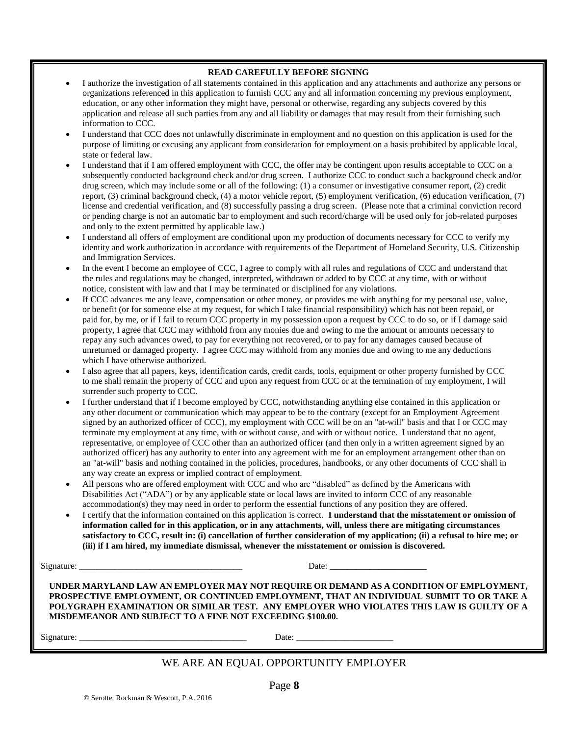#### **READ CAREFULLY BEFORE SIGNING**

- I authorize the investigation of all statements contained in this application and any attachments and authorize any persons or organizations referenced in this application to furnish CCC any and all information concerning my previous employment, education, or any other information they might have, personal or otherwise, regarding any subjects covered by this application and release all such parties from any and all liability or damages that may result from their furnishing such information to CCC.
- I understand that CCC does not unlawfully discriminate in employment and no question on this application is used for the purpose of limiting or excusing any applicant from consideration for employment on a basis prohibited by applicable local, state or federal law.
- I understand that if I am offered employment with CCC, the offer may be contingent upon results acceptable to CCC on a subsequently conducted background check and/or drug screen. I authorize CCC to conduct such a background check and/or drug screen, which may include some or all of the following: (1) a consumer or investigative consumer report, (2) credit report, (3) criminal background check, (4) a motor vehicle report, (5) employment verification, (6) education verification, (7) license and credential verification, and (8) successfully passing a drug screen. (Please note that a criminal conviction record or pending charge is not an automatic bar to employment and such record/charge will be used only for job-related purposes and only to the extent permitted by applicable law.)
- I understand all offers of employment are conditional upon my production of documents necessary for CCC to verify my identity and work authorization in accordance with requirements of the Department of Homeland Security, U.S. Citizenship and Immigration Services.
- In the event I become an employee of CCC, I agree to comply with all rules and regulations of CCC and understand that the rules and regulations may be changed, interpreted, withdrawn or added to by CCC at any time, with or without notice, consistent with law and that I may be terminated or disciplined for any violations.
- If CCC advances me any leave, compensation or other money, or provides me with anything for my personal use, value, or benefit (or for someone else at my request, for which I take financial responsibility) which has not been repaid, or paid for, by me, or if I fail to return CCC property in my possession upon a request by CCC to do so, or if I damage said property, I agree that CCC may withhold from any monies due and owing to me the amount or amounts necessary to repay any such advances owed, to pay for everything not recovered, or to pay for any damages caused because of unreturned or damaged property. I agree CCC may withhold from any monies due and owing to me any deductions which I have otherwise authorized.
- I also agree that all papers, keys, identification cards, credit cards, tools, equipment or other property furnished by CCC to me shall remain the property of CCC and upon any request from CCC or at the termination of my employment, I will surrender such property to CCC.
- I further understand that if I become employed by CCC, notwithstanding anything else contained in this application or any other document or communication which may appear to be to the contrary (except for an Employment Agreement signed by an authorized officer of CCC), my employment with CCC will be on an "at-will" basis and that I or CCC may terminate my employment at any time, with or without cause, and with or without notice. I understand that no agent, representative, or employee of CCC other than an authorized officer (and then only in a written agreement signed by an authorized officer) has any authority to enter into any agreement with me for an employment arrangement other than on an "at-will" basis and nothing contained in the policies, procedures, handbooks, or any other documents of CCC shall in any way create an express or implied contract of employment.
- All persons who are offered employment with CCC and who are "disabled" as defined by the Americans with Disabilities Act ("ADA") or by any applicable state or local laws are invited to inform CCC of any reasonable accommodation(s) they may need in order to perform the essential functions of any position they are offered.
- I certify that the information contained on this application is correct. **I understand that the misstatement or omission of information called for in this application, or in any attachments, will, unless there are mitigating circumstances satisfactory to CCC, result in: (i) cancellation of further consideration of my application; (ii) a refusal to hire me; or (iii) if I am hired, my immediate dismissal, whenever the misstatement or omission is discovered.**

| Signature: |  |
|------------|--|
|            |  |

Signature: \_\_\_\_\_\_\_\_\_\_\_\_\_\_\_\_\_\_\_\_\_\_\_\_\_\_\_\_\_\_\_\_\_\_\_\_\_ Date: **\_\_\_\_\_\_\_\_\_\_\_\_\_\_\_\_\_\_\_\_\_\_**

**UNDER MARYLAND LAW AN EMPLOYER MAY NOT REQUIRE OR DEMAND AS A CONDITION OF EMPLOYMENT, PROSPECTIVE EMPLOYMENT, OR CONTINUED EMPLOYMENT, THAT AN INDIVIDUAL SUBMIT TO OR TAKE A POLYGRAPH EXAMINATION OR SIMILAR TEST. ANY EMPLOYER WHO VIOLATES THIS LAW IS GUILTY OF A MISDEMEANOR AND SUBJECT TO A FINE NOT EXCEEDING \$100.00.**

Signature: \_\_\_\_\_\_\_\_\_\_\_\_\_\_\_\_\_\_\_\_\_\_\_\_\_\_\_\_\_\_\_\_\_\_\_\_\_\_ Date: \_\_\_\_\_\_\_\_\_\_\_\_\_\_\_\_\_\_\_\_\_\_